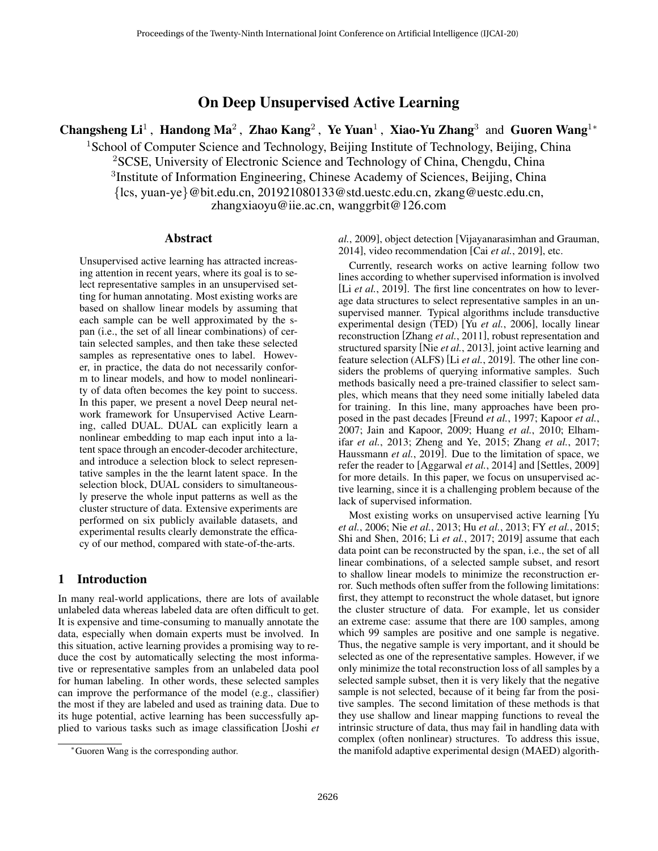# On Deep Unsupervised Active Learning

Changsheng Li<sup>1</sup>, Handong Ma<sup>2</sup>, Zhao Kang<sup>2</sup>, Ye Yuan<sup>1</sup>, Xiao-Yu Zhang<sup>3</sup> and Guoren Wang<sup>1\*</sup>

<sup>1</sup>School of Computer Science and Technology, Beijing Institute of Technology, Beijing, China <sup>2</sup>SCSE, University of Electronic Science and Technology of China, Chengdu, China <sup>3</sup>Institute of Information Engineering, Chinese Academy of Sciences, Beijing, China {lcs, yuan-ye}@bit.edu.cn, 201921080133@std.uestc.edu.cn, zkang@uestc.edu.cn, zhangxiaoyu@iie.ac.cn, wanggrbit@126.com

### Abstract

Unsupervised active learning has attracted increasing attention in recent years, where its goal is to select representative samples in an unsupervised setting for human annotating. Most existing works are based on shallow linear models by assuming that each sample can be well approximated by the span (i.e., the set of all linear combinations) of certain selected samples, and then take these selected samples as representative ones to label. However, in practice, the data do not necessarily conform to linear models, and how to model nonlinearity of data often becomes the key point to success. In this paper, we present a novel Deep neural network framework for Unsupervised Active Learning, called DUAL. DUAL can explicitly learn a nonlinear embedding to map each input into a latent space through an encoder-decoder architecture, and introduce a selection block to select representative samples in the the learnt latent space. In the selection block, DUAL considers to simultaneously preserve the whole input patterns as well as the cluster structure of data. Extensive experiments are performed on six publicly available datasets, and experimental results clearly demonstrate the efficacy of our method, compared with state-of-the-arts.

## 1 Introduction

In many real-world applications, there are lots of available unlabeled data whereas labeled data are often difficult to get. It is expensive and time-consuming to manually annotate the data, especially when domain experts must be involved. In this situation, active learning provides a promising way to reduce the cost by automatically selecting the most informative or representative samples from an unlabeled data pool for human labeling. In other words, these selected samples can improve the performance of the model (e.g., classifier) the most if they are labeled and used as training data. Due to its huge potential, active learning has been successfully applied to various tasks such as image classification [Joshi *et* *al.*, 2009], object detection [Vijayanarasimhan and Grauman, 2014], video recommendation [Cai *et al.*, 2019], etc.

Currently, research works on active learning follow two lines according to whether supervised information is involved [Li *et al.*, 2019]. The first line concentrates on how to leverage data structures to select representative samples in an unsupervised manner. Typical algorithms include transductive experimental design (TED) [Yu *et al.*, 2006], locally linear reconstruction [Zhang *et al.*, 2011], robust representation and structured sparsity [Nie *et al.*, 2013], joint active learning and feature selection (ALFS) [Li *et al.*, 2019]. The other line considers the problems of querying informative samples. Such methods basically need a pre-trained classifier to select samples, which means that they need some initially labeled data for training. In this line, many approaches have been proposed in the past decades [Freund *et al.*, 1997; Kapoor *et al.*, 2007; Jain and Kapoor, 2009; Huang *et al.*, 2010; Elhamifar *et al.*, 2013; Zheng and Ye, 2015; Zhang *et al.*, 2017; Haussmann *et al.*, 2019]. Due to the limitation of space, we refer the reader to [Aggarwal *et al.*, 2014] and [Settles, 2009] for more details. In this paper, we focus on unsupervised active learning, since it is a challenging problem because of the lack of supervised information.

Most existing works on unsupervised active learning [Yu *et al.*, 2006; Nie *et al.*, 2013; Hu *et al.*, 2013; FY *et al.*, 2015; Shi and Shen, 2016; Li *et al.*, 2017; 2019] assume that each data point can be reconstructed by the span, i.e., the set of all linear combinations, of a selected sample subset, and resort to shallow linear models to minimize the reconstruction error. Such methods often suffer from the following limitations: first, they attempt to reconstruct the whole dataset, but ignore the cluster structure of data. For example, let us consider an extreme case: assume that there are 100 samples, among which 99 samples are positive and one sample is negative. Thus, the negative sample is very important, and it should be selected as one of the representative samples. However, if we only minimize the total reconstruction loss of all samples by a selected sample subset, then it is very likely that the negative sample is not selected, because of it being far from the positive samples. The second limitation of these methods is that they use shallow and linear mapping functions to reveal the intrinsic structure of data, thus may fail in handling data with complex (often nonlinear) structures. To address this issue, the manifold adaptive experimental design (MAED) algorith-

<sup>∗</sup>Guoren Wang is the corresponding author.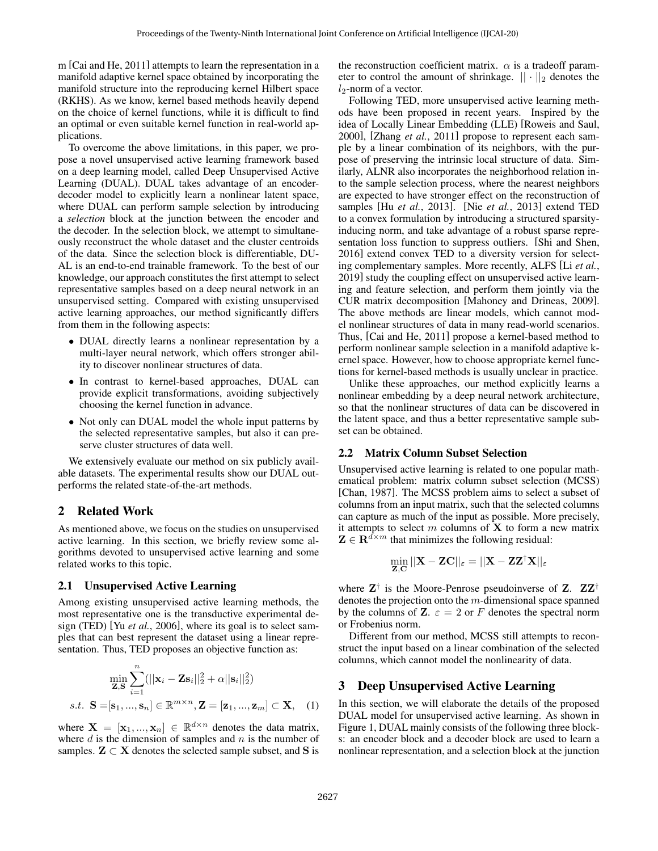m [Cai and He, 2011] attempts to learn the representation in a manifold adaptive kernel space obtained by incorporating the manifold structure into the reproducing kernel Hilbert space (RKHS). As we know, kernel based methods heavily depend on the choice of kernel functions, while it is difficult to find an optimal or even suitable kernel function in real-world applications.

To overcome the above limitations, in this paper, we propose a novel unsupervised active learning framework based on a deep learning model, called Deep Unsupervised Active Learning (DUAL). DUAL takes advantage of an encoderdecoder model to explicitly learn a nonlinear latent space, where DUAL can perform sample selection by introducing a *selection* block at the junction between the encoder and the decoder. In the selection block, we attempt to simultaneously reconstruct the whole dataset and the cluster centroids of the data. Since the selection block is differentiable, DU-AL is an end-to-end trainable framework. To the best of our knowledge, our approach constitutes the first attempt to select representative samples based on a deep neural network in an unsupervised setting. Compared with existing unsupervised active learning approaches, our method significantly differs from them in the following aspects:

- DUAL directly learns a nonlinear representation by a multi-layer neural network, which offers stronger ability to discover nonlinear structures of data.
- In contrast to kernel-based approaches, DUAL can provide explicit transformations, avoiding subjectively choosing the kernel function in advance.
- Not only can DUAL model the whole input patterns by the selected representative samples, but also it can preserve cluster structures of data well.

We extensively evaluate our method on six publicly available datasets. The experimental results show our DUAL outperforms the related state-of-the-art methods.

## 2 Related Work

As mentioned above, we focus on the studies on unsupervised active learning. In this section, we briefly review some algorithms devoted to unsupervised active learning and some related works to this topic.

## 2.1 Unsupervised Active Learning

Among existing unsupervised active learning methods, the most representative one is the transductive experimental design (TED) [Yu *et al.*, 2006], where its goal is to select samples that can best represent the dataset using a linear representation. Thus, TED proposes an objective function as:

$$
\min_{\mathbf{Z}, \mathbf{S}} \sum_{i=1}^{n} (||\mathbf{x}_i - \mathbf{Z} \mathbf{s}_i||_2^2 + \alpha ||\mathbf{s}_i||_2^2)
$$
  
s.t. 
$$
\mathbf{S} = [\mathbf{s}_1, ..., \mathbf{s}_n] \in \mathbb{R}^{m \times n}, \mathbf{Z} = [\mathbf{z}_1, ..., \mathbf{z}_m] \subset \mathbf{X}, \quad (1)
$$

where  $\mathbf{X} = [\mathbf{x}_1, ..., \mathbf{x}_n] \in \mathbb{R}^{d \times n}$  denotes the data matrix, where  $d$  is the dimension of samples and  $n$  is the number of samples.  $\mathbf{Z} \subset \mathbf{X}$  denotes the selected sample subset, and S is the reconstruction coefficient matrix.  $\alpha$  is a tradeoff parameter to control the amount of shrinkage.  $|| \cdot ||_2$  denotes the  $l_2$ -norm of a vector.

Following TED, more unsupervised active learning methods have been proposed in recent years. Inspired by the idea of Locally Linear Embedding (LLE) [Roweis and Saul, 2000], [Zhang *et al.*, 2011] propose to represent each sample by a linear combination of its neighbors, with the purpose of preserving the intrinsic local structure of data. Similarly, ALNR also incorporates the neighborhood relation into the sample selection process, where the nearest neighbors are expected to have stronger effect on the reconstruction of samples [Hu *et al.*, 2013]. [Nie *et al.*, 2013] extend TED to a convex formulation by introducing a structured sparsityinducing norm, and take advantage of a robust sparse representation loss function to suppress outliers. [Shi and Shen, 2016] extend convex TED to a diversity version for selecting complementary samples. More recently, ALFS [Li *et al.*, 2019] study the coupling effect on unsupervised active learning and feature selection, and perform them jointly via the CUR matrix decomposition [Mahoney and Drineas, 2009]. The above methods are linear models, which cannot model nonlinear structures of data in many read-world scenarios. Thus, [Cai and He, 2011] propose a kernel-based method to perform nonlinear sample selection in a manifold adaptive kernel space. However, how to choose appropriate kernel functions for kernel-based methods is usually unclear in practice.

Unlike these approaches, our method explicitly learns a nonlinear embedding by a deep neural network architecture, so that the nonlinear structures of data can be discovered in the latent space, and thus a better representative sample subset can be obtained.

## 2.2 Matrix Column Subset Selection

Unsupervised active learning is related to one popular mathematical problem: matrix column subset selection (MCSS) [Chan, 1987]. The MCSS problem aims to select a subset of columns from an input matrix, such that the selected columns can capture as much of the input as possible. More precisely, it attempts to select  $m$  columns of  $X$  to form a new matrix  $\mathbf{Z} \in \mathbb{R}^{d \times m}$  that minimizes the following residual:

$$
\min_{\mathbf{Z},\mathbf{C}} ||\mathbf{X} - \mathbf{Z}\mathbf{C}||_{\varepsilon} = ||\mathbf{X} - \mathbf{Z}\mathbf{Z}^{\dagger}\mathbf{X}||_{\varepsilon}
$$

where  $Z^{\dagger}$  is the Moore-Penrose pseudoinverse of Z.  $ZZ^{\dagger}$ denotes the projection onto the m-dimensional space spanned by the columns of **Z**.  $\varepsilon = 2$  or F denotes the spectral norm or Frobenius norm.

Different from our method, MCSS still attempts to reconstruct the input based on a linear combination of the selected columns, which cannot model the nonlinearity of data.

## 3 Deep Unsupervised Active Learning

In this section, we will elaborate the details of the proposed DUAL model for unsupervised active learning. As shown in Figure 1, DUAL mainly consists of the following three blocks: an encoder block and a decoder block are used to learn a nonlinear representation, and a selection block at the junction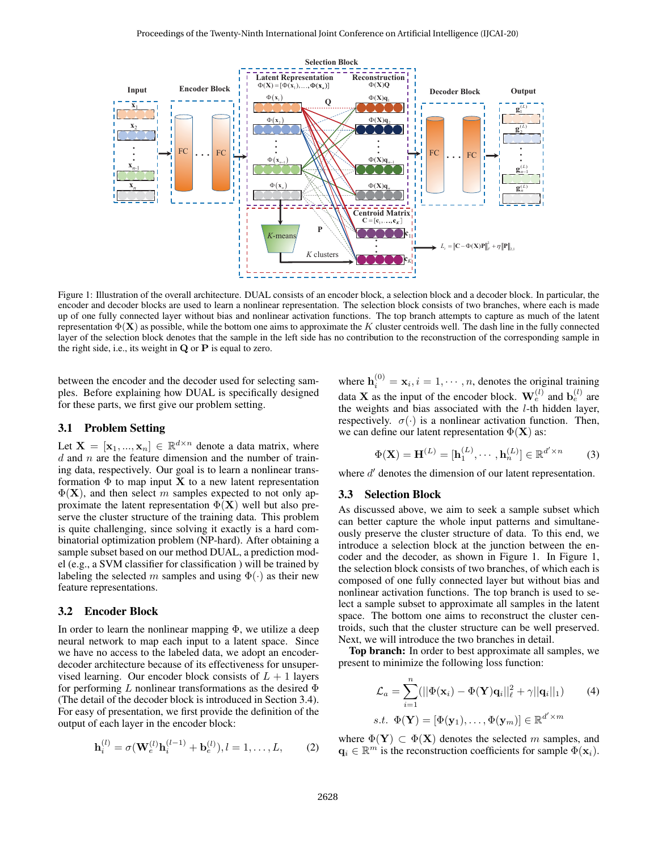

Figure 1: Illustration of the overall architecture. DUAL consists of an encoder block, a selection block and a decoder block. In particular, the encoder and decoder blocks are used to learn a nonlinear representation. The selection block consists of two branches, where each is made up of one fully connected layer without bias and nonlinear activation functions. The top branch attempts to capture as much of the latent representation  $\Phi(\mathbf{X})$  as possible, while the bottom one aims to approximate the K cluster centroids well. The dash line in the fully connected layer of the selection block denotes that the sample in the left side has no contribution to the reconstruction of the corresponding sample in the right side, i.e., its weight in Q or P is equal to zero.

between the encoder and the decoder used for selecting samples. Before explaining how DUAL is specifically designed for these parts, we first give our problem setting.

### 3.1 Problem Setting

Let  $X = [x_1, ..., x_n] \in \mathbb{R}^{d \times n}$  denote a data matrix, where  $d$  and  $n$  are the feature dimension and the number of training data, respectively. Our goal is to learn a nonlinear transformation  $\Phi$  to map input **X** to a new latent representation  $\Phi(X)$ , and then select m samples expected to not only approximate the latent representation  $\Phi(X)$  well but also preserve the cluster structure of the training data. This problem is quite challenging, since solving it exactly is a hard combinatorial optimization problem (NP-hard). After obtaining a sample subset based on our method DUAL, a prediction model (e.g., a SVM classifier for classification ) will be trained by labeling the selected m samples and using  $\Phi(\cdot)$  as their new feature representations.

#### 3.2 Encoder Block

In order to learn the nonlinear mapping  $\Phi$ , we utilize a deep neural network to map each input to a latent space. Since we have no access to the labeled data, we adopt an encoderdecoder architecture because of its effectiveness for unsupervised learning. Our encoder block consists of  $L + 1$  layers for performing L nonlinear transformations as the desired  $\Phi$ (The detail of the decoder block is introduced in Section 3.4). For easy of presentation, we first provide the definition of the output of each layer in the encoder block:

$$
\mathbf{h}_{i}^{(l)} = \sigma(\mathbf{W}_{e}^{(l)}\mathbf{h}_{i}^{(l-1)} + \mathbf{b}_{e}^{(l)}), l = 1, ..., L,
$$
 (2)

where  $\mathbf{h}_i^{(0)} = \mathbf{x}_i, i = 1, \cdots, n$ , denotes the original training data **X** as the input of the encoder block.  $\mathbf{W}_e^{(l)}$  and  $\mathbf{b}_e^{(l)}$  are the weights and bias associated with the  $l$ -th hidden layer, respectively.  $\sigma(\cdot)$  is a nonlinear activation function. Then, we can define our latent representation  $\Phi(X)$  as:

$$
\Phi(\mathbf{X}) = \mathbf{H}^{(L)} = [\mathbf{h}_1^{(L)}, \cdots, \mathbf{h}_n^{(L)}] \in \mathbb{R}^{d' \times n}
$$
 (3)

where  $d'$  denotes the dimension of our latent representation.

#### 3.3 Selection Block

As discussed above, we aim to seek a sample subset which can better capture the whole input patterns and simultaneously preserve the cluster structure of data. To this end, we introduce a selection block at the junction between the encoder and the decoder, as shown in Figure 1. In Figure 1, the selection block consists of two branches, of which each is composed of one fully connected layer but without bias and nonlinear activation functions. The top branch is used to select a sample subset to approximate all samples in the latent space. The bottom one aims to reconstruct the cluster centroids, such that the cluster structure can be well preserved. Next, we will introduce the two branches in detail.

Top branch: In order to best approximate all samples, we present to minimize the following loss function:

$$
\mathcal{L}_a = \sum_{i=1}^n (||\Phi(\mathbf{x}_i) - \Phi(\mathbf{Y})\mathbf{q}_i||_\ell^2 + \gamma ||\mathbf{q}_i||_1)
$$
(4)  
s.t.  $\Phi(\mathbf{Y}) = [\Phi(\mathbf{y}_1), \dots, \Phi(\mathbf{y}_m)] \in \mathbb{R}^{d' \times m}$ 

where  $\Phi(Y) \subset \Phi(X)$  denotes the selected m samples, and  $\mathbf{q}_i \in \mathbb{R}^m$  is the reconstruction coefficients for sample  $\Phi(\mathbf{x}_i)$ .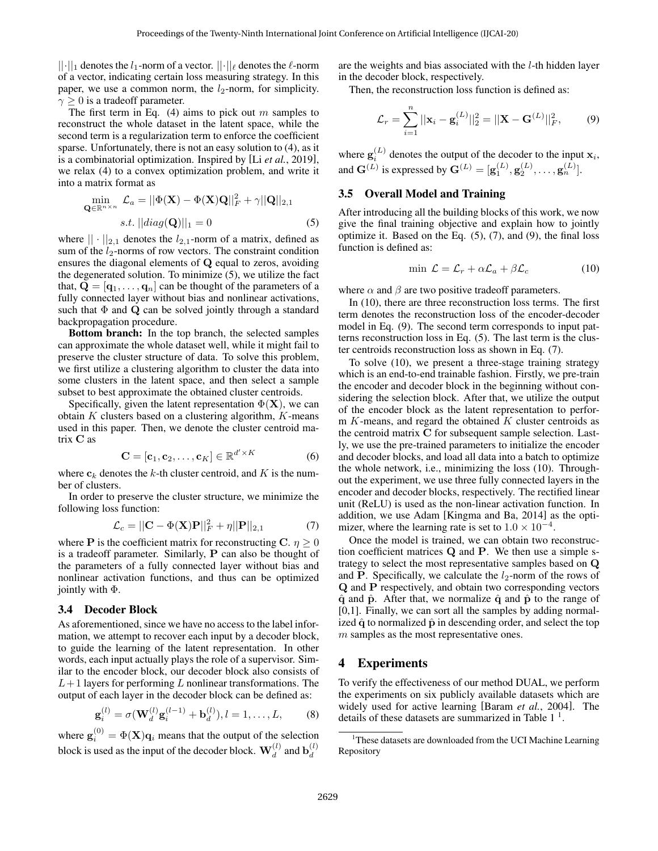$||\cdot||_1$  denotes the  $l_1$ -norm of a vector.  $||\cdot||_\ell$  denotes the  $\ell$ -norm of a vector, indicating certain loss measuring strategy. In this paper, we use a common norm, the  $l_2$ -norm, for simplicity.  $\gamma \geq 0$  is a tradeoff parameter.

The first term in Eq.  $(4)$  aims to pick out m samples to reconstruct the whole dataset in the latent space, while the second term is a regularization term to enforce the coefficient sparse. Unfortunately, there is not an easy solution to (4), as it is a combinatorial optimization. Inspired by [Li *et al.*, 2019], we relax (4) to a convex optimization problem, and write it into a matrix format as

$$
\min_{\mathbf{Q} \in \mathbb{R}^{n \times n}} \mathcal{L}_a = ||\Phi(\mathbf{X}) - \Phi(\mathbf{X})\mathbf{Q}||_F^2 + \gamma ||\mathbf{Q}||_{2,1}
$$
  
s.t.  $||diag(\mathbf{Q})||_1 = 0$  (5)

where  $|| \cdot ||_{2,1}$  denotes the  $l_{2,1}$ -norm of a matrix, defined as sum of the  $l_2$ -norms of row vectors. The constraint condition ensures the diagonal elements of Q equal to zeros, avoiding the degenerated solution. To minimize (5), we utilize the fact that,  $\mathbf{Q} = [\mathbf{q}_1, \dots, \mathbf{q}_n]$  can be thought of the parameters of a fully connected layer without bias and nonlinear activations, such that  $\Phi$  and  $\mathbf Q$  can be solved jointly through a standard backpropagation procedure.

Bottom branch: In the top branch, the selected samples can approximate the whole dataset well, while it might fail to preserve the cluster structure of data. To solve this problem, we first utilize a clustering algorithm to cluster the data into some clusters in the latent space, and then select a sample subset to best approximate the obtained cluster centroids.

Specifically, given the latent representation  $\Phi(X)$ , we can obtain  $K$  clusters based on a clustering algorithm,  $K$ -means used in this paper. Then, we denote the cluster centroid matrix C as

$$
\mathbf{C} = [\mathbf{c}_1, \mathbf{c}_2, \dots, \mathbf{c}_K] \in \mathbb{R}^{d' \times K}
$$
 (6)

where  $c_k$  denotes the k-th cluster centroid, and K is the number of clusters.

In order to preserve the cluster structure, we minimize the following loss function:

$$
\mathcal{L}_c = ||\mathbf{C} - \Phi(\mathbf{X})\mathbf{P}||_F^2 + \eta ||\mathbf{P}||_{2,1} \tag{7}
$$

where **P** is the coefficient matrix for reconstructing C.  $\eta \ge 0$ is a tradeoff parameter. Similarly, P can also be thought of the parameters of a fully connected layer without bias and nonlinear activation functions, and thus can be optimized jointly with Φ.

#### 3.4 Decoder Block

As aforementioned, since we have no access to the label information, we attempt to recover each input by a decoder block, to guide the learning of the latent representation. In other words, each input actually plays the role of a supervisor. Similar to the encoder block, our decoder block also consists of  $L+1$  layers for performing L nonlinear transformations. The output of each layer in the decoder block can be defined as:

$$
\mathbf{g}_i^{(l)} = \sigma(\mathbf{W}_d^{(l)} \mathbf{g}_i^{(l-1)} + \mathbf{b}_d^{(l)}), l = 1, ..., L,
$$
 (8)

where  $\mathbf{g}_i^{(0)} = \Phi(\mathbf{X}) \mathbf{q}_i$  means that the output of the selection block is used as the input of the decoder block.  $\mathbf{W}_d^{(l)}$  and  $\mathbf{b}_d^{(l)}$ d

are the weights and bias associated with the l-th hidden layer in the decoder block, respectively.

Then, the reconstruction loss function is defined as:

$$
\mathcal{L}_r = \sum_{i=1}^n ||\mathbf{x}_i - \mathbf{g}_i^{(L)}||_2^2 = ||\mathbf{X} - \mathbf{G}^{(L)}||_F^2, \qquad (9)
$$

where  $\mathbf{g}_i^{(L)}$  denotes the output of the decoder to the input  $\mathbf{x}_i$ , where  $\mathbf{g}_i$  denotes the output of the decoder to the input<br>and  $\mathbf{G}^{(L)}$  is expressed by  $\mathbf{G}^{(L)} = [\mathbf{g}_1^{(L)}, \mathbf{g}_2^{(L)}, \dots, \mathbf{g}_n^{(L)}]$ .

### 3.5 Overall Model and Training

After introducing all the building blocks of this work, we now give the final training objective and explain how to jointly optimize it. Based on the Eq. (5), (7), and (9), the final loss function is defined as:

$$
\min \mathcal{L} = \mathcal{L}_r + \alpha \mathcal{L}_a + \beta \mathcal{L}_c \tag{10}
$$

where  $\alpha$  and  $\beta$  are two positive tradeoff parameters.

In (10), there are three reconstruction loss terms. The first term denotes the reconstruction loss of the encoder-decoder model in Eq. (9). The second term corresponds to input patterns reconstruction loss in Eq. (5). The last term is the cluster centroids reconstruction loss as shown in Eq. (7).

To solve (10), we present a three-stage training strategy which is an end-to-end trainable fashion. Firstly, we pre-train the encoder and decoder block in the beginning without considering the selection block. After that, we utilize the output of the encoder block as the latent representation to perform  $K$ -means, and regard the obtained  $K$  cluster centroids as the centroid matrix C for subsequent sample selection. Lastly, we use the pre-trained parameters to initialize the encoder and decoder blocks, and load all data into a batch to optimize the whole network, i.e., minimizing the loss (10). Throughout the experiment, we use three fully connected layers in the encoder and decoder blocks, respectively. The rectified linear unit (ReLU) is used as the non-linear activation function. In addition, we use Adam [Kingma and Ba, 2014] as the optimizer, where the learning rate is set to  $1.0 \times 10^{-4}$ .

Once the model is trained, we can obtain two reconstruction coefficient matrices Q and P. We then use a simple strategy to select the most representative samples based on Q and P. Specifically, we calculate the  $l_2$ -norm of the rows of Q and P respectively, and obtain two corresponding vectors  $\hat{q}$  and  $\hat{p}$ . After that, we normalize  $\hat{q}$  and  $\hat{p}$  to the range of [0,1]. Finally, we can sort all the samples by adding normalized  $\hat{q}$  to normalized  $\hat{p}$  in descending order, and select the top m samples as the most representative ones.

### 4 Experiments

To verify the effectiveness of our method DUAL, we perform the experiments on six publicly available datasets which are widely used for active learning [Baram *et al.*, 2004]. The details of these datasets are summarized in Table  $1<sup>1</sup>$ .

<sup>&</sup>lt;sup>1</sup>These datasets are downloaded from the UCI Machine Learning Repository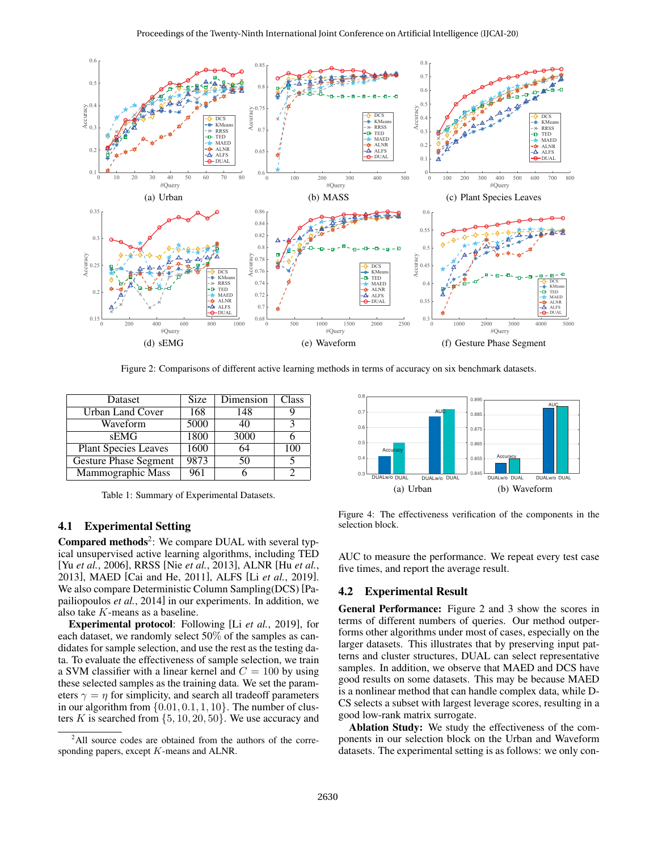

Figure 2: Comparisons of different active learning methods in terms of accuracy on six benchmark datasets.

| Dataset                      | Size | Dimension | Class |
|------------------------------|------|-----------|-------|
| Urban Land Cover             | 168  | 148       |       |
| Waveform                     | 5000 | 40        |       |
| <b>sEMG</b>                  | 1800 | 3000      |       |
| <b>Plant Species Leaves</b>  | 1600 | 64        | 100   |
| <b>Gesture Phase Segment</b> | 9873 | 50        |       |
| Mammographic Mass            | 961  |           |       |

Table 1: Summary of Experimental Datasets.

#### 4.1 Experimental Setting

Compared methods<sup>2</sup>: We compare DUAL with several typical unsupervised active learning algorithms, including TED [Yu *et al.*, 2006], RRSS [Nie *et al.*, 2013], ALNR [Hu *et al.*, 2013], MAED [Cai and He, 2011], ALFS [Li *et al.*, 2019]. We also compare Deterministic Column Sampling(DCS) [Papailiopoulos *et al.*, 2014] in our experiments. In addition, we also take K-means as a baseline.

Experimental protocol: Following [Li *et al.*, 2019], for each dataset, we randomly select 50% of the samples as candidates for sample selection, and use the rest as the testing data. To evaluate the effectiveness of sample selection, we train a SVM classifier with a linear kernel and  $C = 100$  by using these selected samples as the training data. We set the parameters  $\gamma = \eta$  for simplicity, and search all tradeoff parameters in our algorithm from  $\{0.01, 0.1, 1, 10\}$ . The number of clusters K is searched from  $\{5, 10, 20, 50\}$ . We use accuracy and



Figure 4: The effectiveness verification of the components in the selection block.

AUC to measure the performance. We repeat every test case five times, and report the average result.

#### 4.2 Experimental Result

General Performance: Figure 2 and 3 show the scores in terms of different numbers of queries. Our method outperforms other algorithms under most of cases, especially on the larger datasets. This illustrates that by preserving input patterns and cluster structures, DUAL can select representative samples. In addition, we observe that MAED and DCS have good results on some datasets. This may be because MAED is a nonlinear method that can handle complex data, while D-CS selects a subset with largest leverage scores, resulting in a good low-rank matrix surrogate.

Ablation Study: We study the effectiveness of the components in our selection block on the Urban and Waveform datasets. The experimental setting is as follows: we only con-

<sup>&</sup>lt;sup>2</sup>All source codes are obtained from the authors of the corresponding papers, except K-means and ALNR.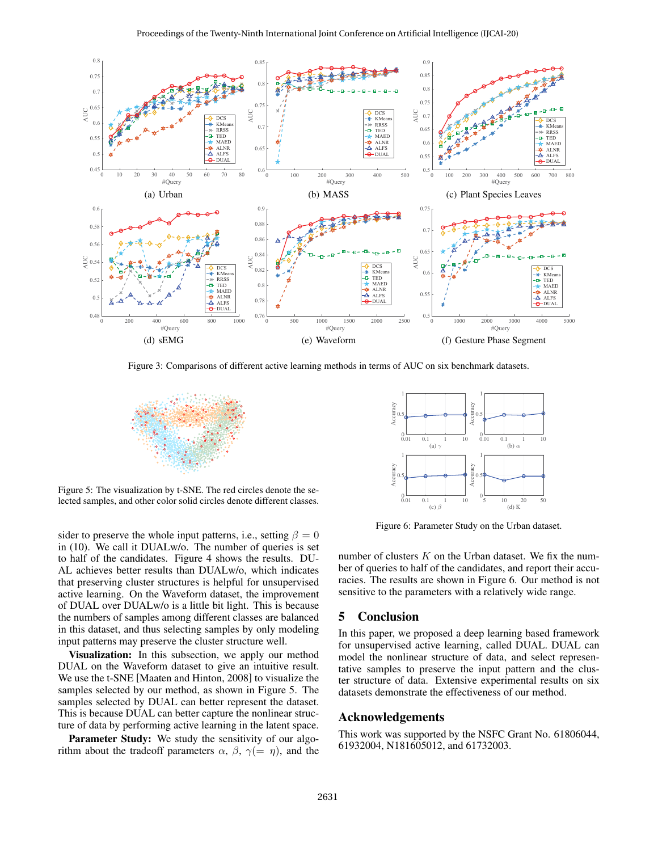

Figure 3: Comparisons of different active learning methods in terms of AUC on six benchmark datasets.



Figure 5: The visualization by t-SNE. The red circles denote the selected samples, and other color solid circles denote different classes.

sider to preserve the whole input patterns, i.e., setting  $\beta = 0$ in (10). We call it DUALw/o. The number of queries is set to half of the candidates. Figure 4 shows the results. DU-AL achieves better results than DUALw/o, which indicates that preserving cluster structures is helpful for unsupervised active learning. On the Waveform dataset, the improvement of DUAL over DUALw/o is a little bit light. This is because the numbers of samples among different classes are balanced in this dataset, and thus selecting samples by only modeling input patterns may preserve the cluster structure well.

Visualization: In this subsection, we apply our method DUAL on the Waveform dataset to give an intuitive result. We use the t-SNE [Maaten and Hinton, 2008] to visualize the samples selected by our method, as shown in Figure 5. The samples selected by DUAL can better represent the dataset. This is because DUAL can better capture the nonlinear structure of data by performing active learning in the latent space.

Parameter Study: We study the sensitivity of our algorithm about the tradeoff parameters  $\alpha$ ,  $\beta$ ,  $\gamma$ (=  $\eta$ ), and the



Figure 6: Parameter Study on the Urban dataset.

number of clusters  $K$  on the Urban dataset. We fix the number of queries to half of the candidates, and report their accuracies. The results are shown in Figure 6. Our method is not sensitive to the parameters with a relatively wide range.

### 5 Conclusion

In this paper, we proposed a deep learning based framework for unsupervised active learning, called DUAL. DUAL can model the nonlinear structure of data, and select representative samples to preserve the input pattern and the cluster structure of data. Extensive experimental results on six datasets demonstrate the effectiveness of our method.

#### Acknowledgements

This work was supported by the NSFC Grant No. 61806044, 61932004, N181605012, and 61732003.